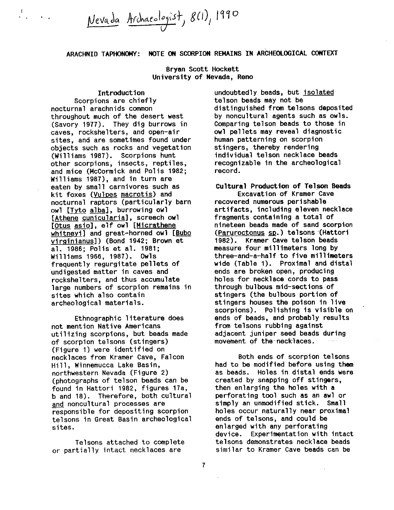Nevada Archaeologist, 8(1), 1990

ARACHNID TAPHONOMY: NOTE ON SCORPION REMAINS IN ARCHEOLOGICAL CONTEXT

Bryan Scott Hockett University of Nevada, Rena

Introduction Scorpions are chiefly nocturnal arachnids common throughout much of the desert west (Savory 1977). They dig burrows in caves, rockshelters, and open—air sites, and are sometimes found under objects such as rocks and vegetation (Williams 1987). scorpions hunt other scorpions, insects, reptiles, and mice (Mccormick and Polls 1982; Williams 1987), and in turn are eaten by small carnivores such as kit foxes (Vulpes macrotis) and nocturnal raptors (particularly barn owl [Tyto alba], burrowing owl [Athene cunicularia], screech owl [Otus asio], elf owl [Micrathene whitneyi] and great-horned owl [Bubo virginianus)) (Bond 1942; Brown et al. 1986; Polis et al. 1981; Williams 1966, 1987). owls frequently regurgitate pellets of undigested matter In caves and rockshelters, and thus accumulate large numbers of scorpion remains In sites which also contain archeological materials.

Ethnographic literature does not mention Native Americans utilizing scorpions, but beads made of scorpion telsons (stingers) (Figure 1) were Identified on necklaces from Kramer Cave, Falcon Hill, Winnemucca Lake Basin, northwestern Nevada (Figure 2) (photographs of telson beads can be found in Hattorl 1982, figures 17a, <sup>b</sup> and 18). Therefore, both cultural and noncultural processes are responsible for depositing scorpion telsons in Great Basin archeological sites.

Telsons attached to complete or partially intact necklaces are

undoubtedly beads, but isolated telson beads may not be distinguished from telsons deposited by noncultural agents such as owls. Comparing telson beads to those in owl pellets may reveal diagnostic human patterning on scorpion stingers, thereby rendering individual telson necklace beads recognizable In the archeological record.

Cultural Production of Telson Beads

Excavation of Kramer Cave recovered numerous perishable artifacts, including eleven necklace fragments containing <sup>a</sup> total of nineteen beads made of sand scorpion (Paruroctonus sp.) telsons (Hattori 1982). Kramer Cave telson beads measure four millimeters long by three—and—a—half to five millimeters wide (Table 1). Proximal and distal ends are broken open, producing holes for necklace cords to pass through bulbous mid—sections of stingers (the bulbous portion of stingers houses the poison in live scorpions). Polishing is visible on ends of beads, and probably results from telsons rubbing against adjacent juniper seed beads during movement of the necklaces.

Both ends of scorpion telsons had to be modified before using them as beads. Holes in distal ends were created by snapping off stlngers, then enlarging the holes with a perforating tool such as an awl or simply an unmodified stick. Small holes occur naturally near proximal ends of telsons, and could be enlarged with any perforating device. Experimentation with intact telsons demonstrates necklace beads similar to Kramer Cave beads can be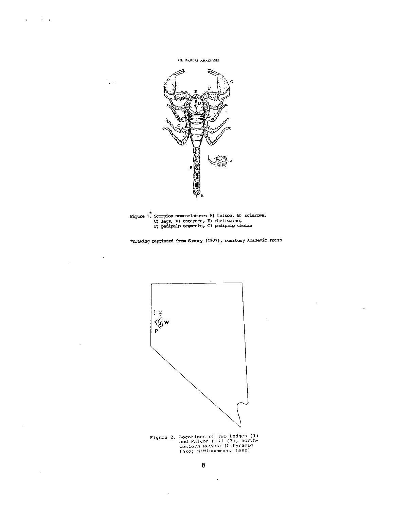$\mathcal{L} = \mathcal{H} \cup \mathcal{L}$  $\mathbf{r}$ 

 $\epsilon_{\rm g}$  and

 $\ddot{\phantom{a}}$ 

 $\bar{z}$ 

 $\mathcal{A}$ 

III. PROLES ARAGUNES



Figure 1. Scorpion nomenclature: A) telson, B) scleroma,<br>
C) legs, D) carapace, E) chelicerae,<br>
F) pedipalp segments, G) pedipalp chelae

\*Drawing reprinted from Savory (1977), courtesy Academic Press

 $\cdot$ 





 $\ddot{\phantom{a}}$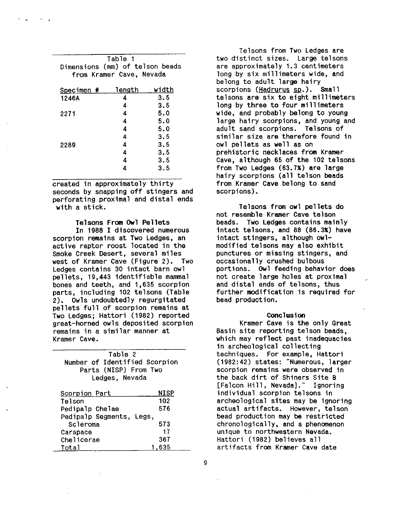| Table 1                         |       |  |
|---------------------------------|-------|--|
| Dimensions (mm) of telson beads |       |  |
| from Kramer Cave, Nevada        |       |  |
| length                          | width |  |
| Л                               | 3.5   |  |
| 4                               | 3.5   |  |
| 4                               | 5.0   |  |
| 4                               | 5.0   |  |
| 4                               | 5.0   |  |
| 4                               | 3.5   |  |
| 4                               | 3.5   |  |
| 4                               | 3.5   |  |
| 4                               | 3.5   |  |
|                                 | 3.5   |  |
|                                 |       |  |

created in approximately thirty seconds by snapping off stingers and perforating proximal and distal ends with a stick.

## Telsons From Owl Pellets

In 1988 I discovered numerous scorpion remains at Two Ledges, an active raptor roost located in the Smoke Creek Desert, several miles west of Kramer Cave (Figure 2). Two Ledges contains <sup>30</sup> intact barn owl pellets, 19,443 identifiable mammal bones and teeth, and 1,635 scorpion parts, including <sup>102</sup> telsons (Table 2). owls undoubtedly regurgitated pellets full of scorpion remains at Two Ledges; Hattori (1982) reported great—horned owls deposited scorpion remains in a similar manner at Kramer Cave.

| Table 2<br>Number of Identified Scorpion<br>Parts (NISP) From Two<br>Ledges, Nevada |             |
|-------------------------------------------------------------------------------------|-------------|
| Scorpion Part                                                                       | <b>NISP</b> |
| Telson                                                                              | 102         |
| Pedipalp Chelae                                                                     | 576         |
| Pedipalp Segments, Legs,                                                            |             |
| Scleroma                                                                            | 573         |
| Carapace                                                                            | 17          |
| Chelicerae                                                                          | 367         |
| Total                                                                               | 635         |

Telsons from Two Ledges are two distinct sizes. Large telsons are approximately 1.3 centImeters long by six millimeters wide, and belong to adult large hairy scorpions (Hadrurus sp.). Small telsons are six to eight millimeters long by three to four millimeters wide, and probably belong to young large hairy scorpions, and young and adult sand scorpions. Telsons of similar size are therefore found In owl pellets as well as on prehistoric necklaces from Kramer Cave, although 65 of the 102 telsons from Two Ledges (63.7%) are large hairy scorpions (all telson beads from Kramer Cave belong to sand scorpions).

Telsons from owl pellets do not resemble Kramer Cave telson beads. Two Ledges contains mainly Intact telsons, and <sup>88</sup> (86.3%) have intact stingers, although owlmodified telsons may also exhibit punctures or missing stingers, and occasionally crushed bulbous portions. Owl feeding behavior does not create large holes at proximal and distal ends of telsons, thus further modification Is required for bead production.

## Conclusion

Kramer Cave is the only Great Basin site reporting telson beads, which may reflect past inadequacies in archeological collecting techniques. For example, Hattori (1982:42) states: "Numerous, larger scorpion remains were observed in the back dirt of Shiners Site <sup>B</sup> [Falcon Hill, Nevada]." Ignoring individual scorpion telsons In archeological sites may be Ignoring actual artifacts. However, telson bead production may be restricted chronologically, and a phenomenon unique to northwestern Nevada. Hattori (1982) believes all artifacts from Kramer Cave date